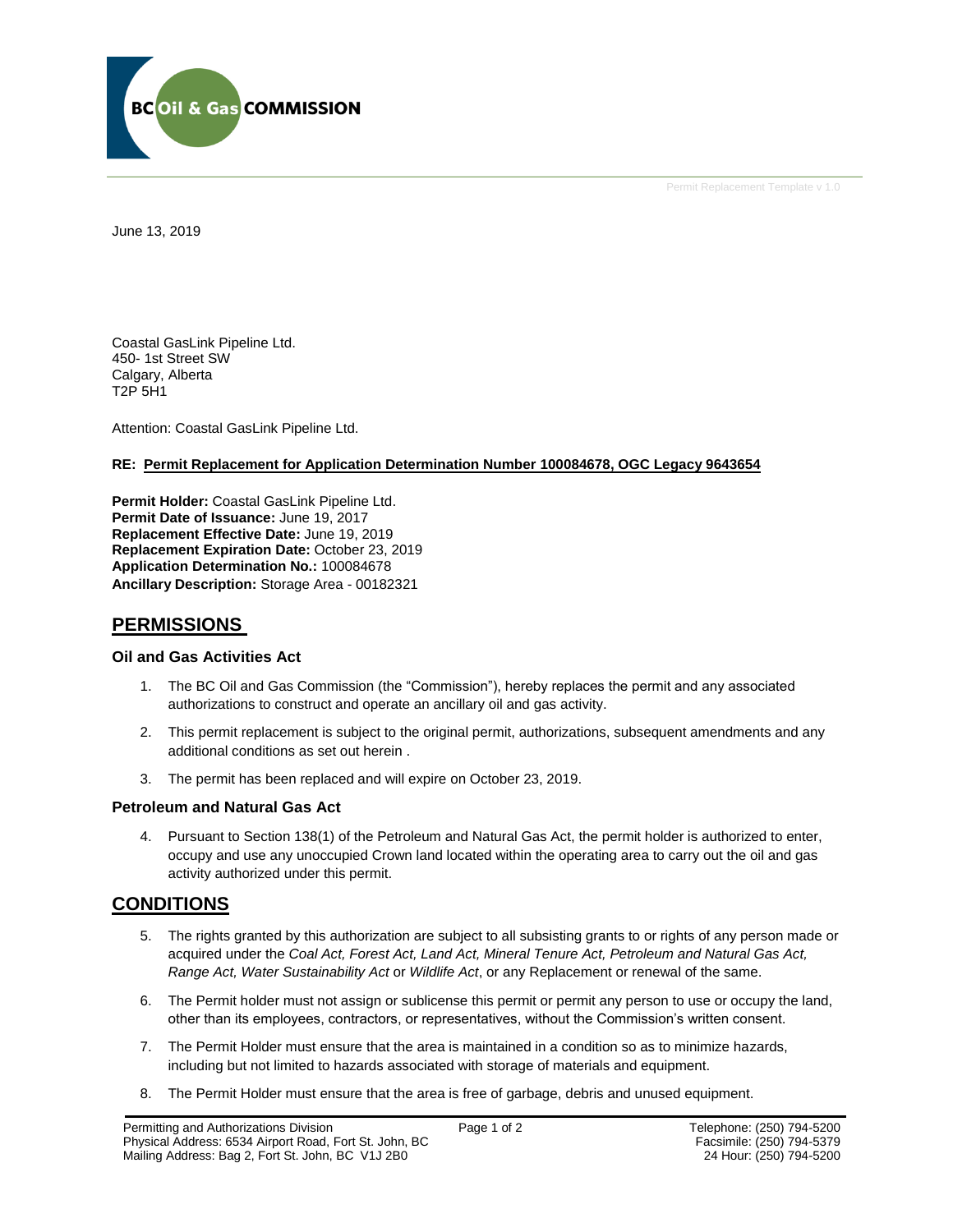

Permit Replacement Template v 1.0

June 13, 2019

Coastal GasLink Pipeline Ltd. 450- 1st Street SW Calgary, Alberta T2P 5H1

Attention: Coastal GasLink Pipeline Ltd.

### **RE: Permit Replacement for Application Determination Number 100084678, OGC Legacy 9643654**

**Permit Holder:** Coastal GasLink Pipeline Ltd. **Permit Date of Issuance: June 19, 2017 Replacement Effective Date:** June 19, 2019 **Replacement Expiration Date:** October 23, 2019 **Application Determination No.:** 100084678 **Ancillary Description:** Storage Area - 00182321

# **PERMISSIONS**

### **Oil and Gas Activities Act**

- 1. The BC Oil and Gas Commission (the "Commission"), hereby replaces the permit and any associated authorizations to construct and operate an ancillary oil and gas activity.
- 2. This permit replacement is subject to the original permit, authorizations, subsequent amendments and any additional conditions as set out herein .
- 3. The permit has been replaced and will expire on October 23, 2019.

## **Petroleum and Natural Gas Act**

4. Pursuant to Section 138(1) of the Petroleum and Natural Gas Act, the permit holder is authorized to enter, occupy and use any unoccupied Crown land located within the operating area to carry out the oil and gas activity authorized under this permit.

# **CONDITIONS**

- 5. The rights granted by this authorization are subject to all subsisting grants to or rights of any person made or acquired under the *Coal Act, Forest Act, Land Act, Mineral Tenure Act, Petroleum and Natural Gas Act, Range Act, Water Sustainability Act* or *Wildlife Act*, or any Replacement or renewal of the same.
- 6. The Permit holder must not assign or sublicense this permit or permit any person to use or occupy the land, other than its employees, contractors, or representatives, without the Commission's written consent.
- 7. The Permit Holder must ensure that the area is maintained in a condition so as to minimize hazards, including but not limited to hazards associated with storage of materials and equipment.
- 8. The Permit Holder must ensure that the area is free of garbage, debris and unused equipment.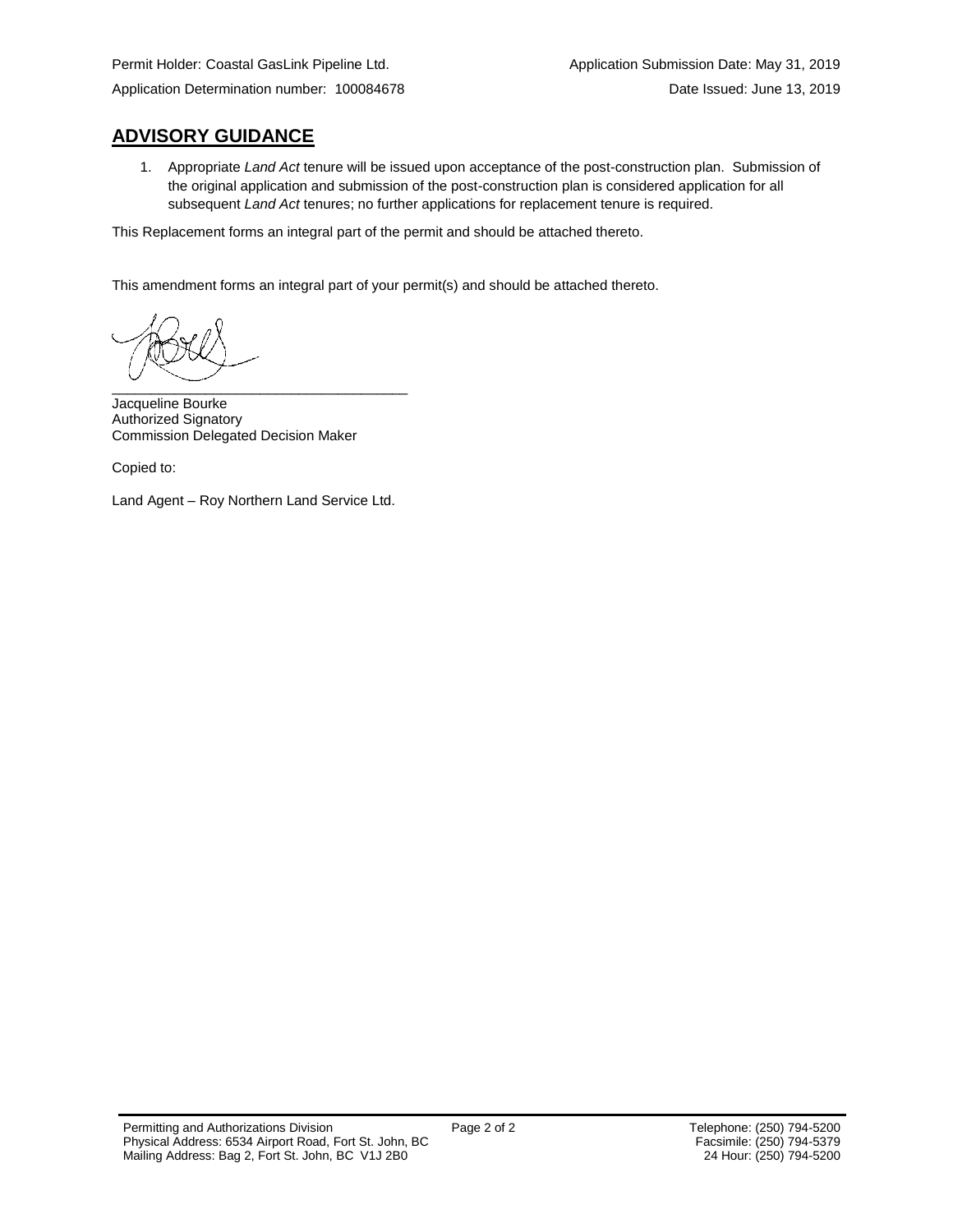# **ADVISORY GUIDANCE**

1. Appropriate *Land Act* tenure will be issued upon acceptance of the post-construction plan. Submission of the original application and submission of the post-construction plan is considered application for all subsequent *Land Act* tenures; no further applications for replacement tenure is required.

This Replacement forms an integral part of the permit and should be attached thereto.

This amendment forms an integral part of your permit(s) and should be attached thereto.

\_\_\_\_\_\_\_\_\_\_\_\_\_\_\_\_\_\_\_\_\_\_\_\_\_\_\_\_\_\_\_\_\_\_\_\_\_\_

Jacqueline Bourke Authorized Signatory Commission Delegated Decision Maker

Copied to:

Land Agent – Roy Northern Land Service Ltd.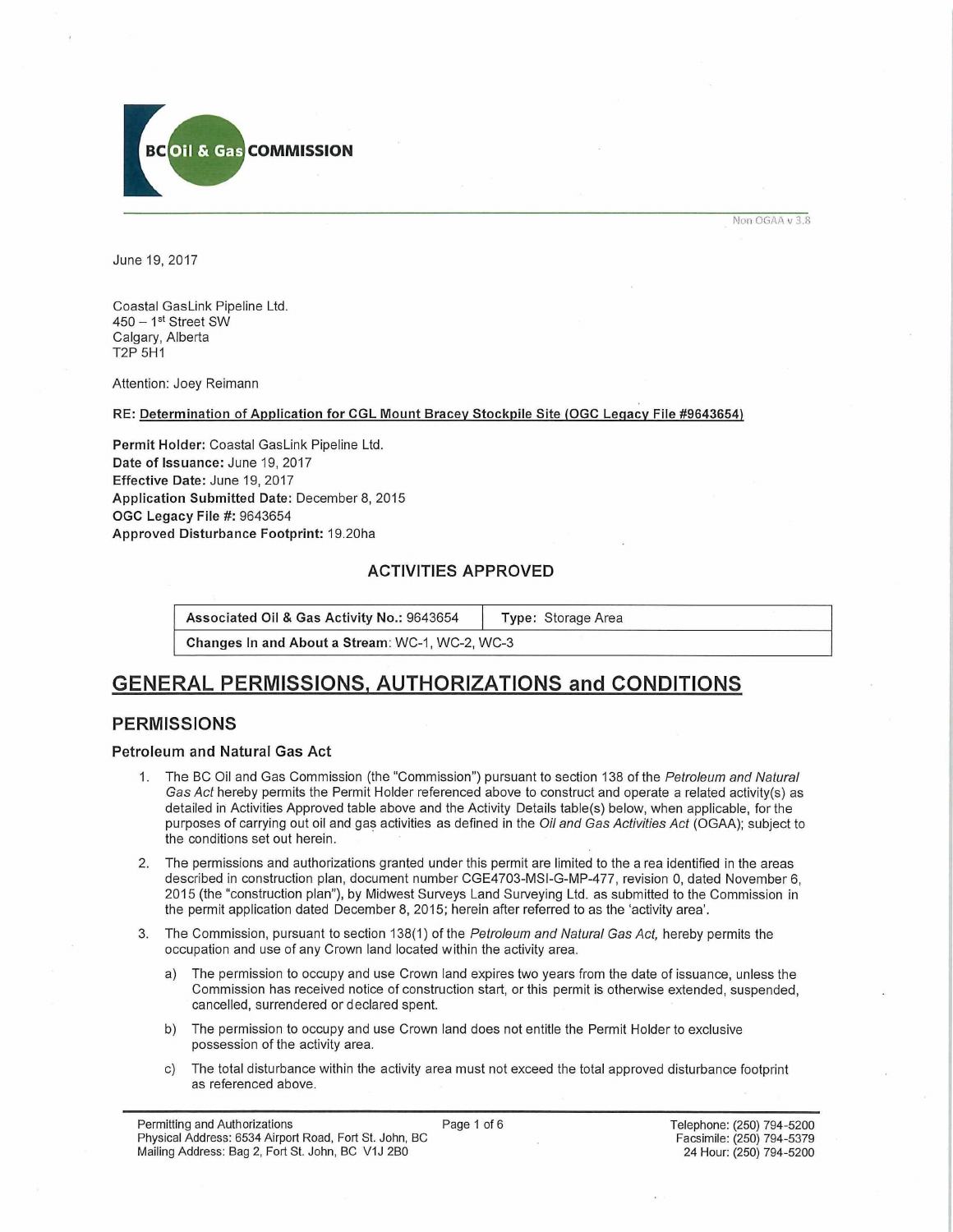

Non OGAA v 3.8

June 19, 2017

Coastal GasLink Pipeline Ltd. 450 - 1st Street SW Calgary, Alberta T2P 5H1

Attention: Joey Reimann

RE: Determination of Application for CGL Mount Bracev Stockpile Site (OGC Legacy File #9643654)

Permit Holder: Coastal GasLink Pipeline Ltd. Date of Issuance: June 19, 2017 Effective Date: June 19, 2017 Application Submitted Date: December 8, 2015 OGC Legacy File #: 9643654 Approved Disturbance Footprint: 19.20ha

## **ACTIVITIES APPROVED**

Associated Oil & Gas Activity No.: 9643654 | Type: Storage Area

Changes In and About a Stream: WC-1, WC-2, WC-3

# **GENERAL PERMISSIONS. AUTHORIZATIONS and CONDITIONS**

## **PERMISSIONS**

### **Petroleum and Natural Gas Act**

- 1. The BC Oil and Gas Commission (the "Commission") pursuant to section 138 of the *Petroleum and Natural Gas Act* hereby permits the Permit Holder referenced above to construct and operate a related activity(s) as detailed in Activities Approved table above and the Activity Details table(s) below, when applicable, for the purposes of carrying out oil and gas activities as defined in the *Oil and Gas Activities Act* (OGAA); subject to the conditions set out herein.
- 2. The permissions and authorizations granted under this permit are limited to the a rea identified in the areas described in construction plan, document number CGE4703-MSI-G-MP-477, revision 0, dated November 6, 2015 (the "construction plan"), by Midwest Surveys Land Surveying Ltd. as submitted to the Commission in the permit application dated December 8, 2015; herein after referred to as the 'activity area'.
- 3. The Commission, pursuant to section 138(1) of the *Petroleum and Natural Gas Act,* hereby permits the occupation and use of any Crown land located within the activity area.
	- a) The permission to occupy and use Crown land expires two years from the date of issuance, unless the Commission has received notice of construction start, or this permit is otherwise extended, suspended, cancelled, surrendered or declared spent.
	- b) The permission to occupy and use Crown land does not entitle the Permit Holder to exclusive possession of the activity area.
	- c) The total disturbance within the activity area must not exceed the total approved disturbance footprint as referenced above.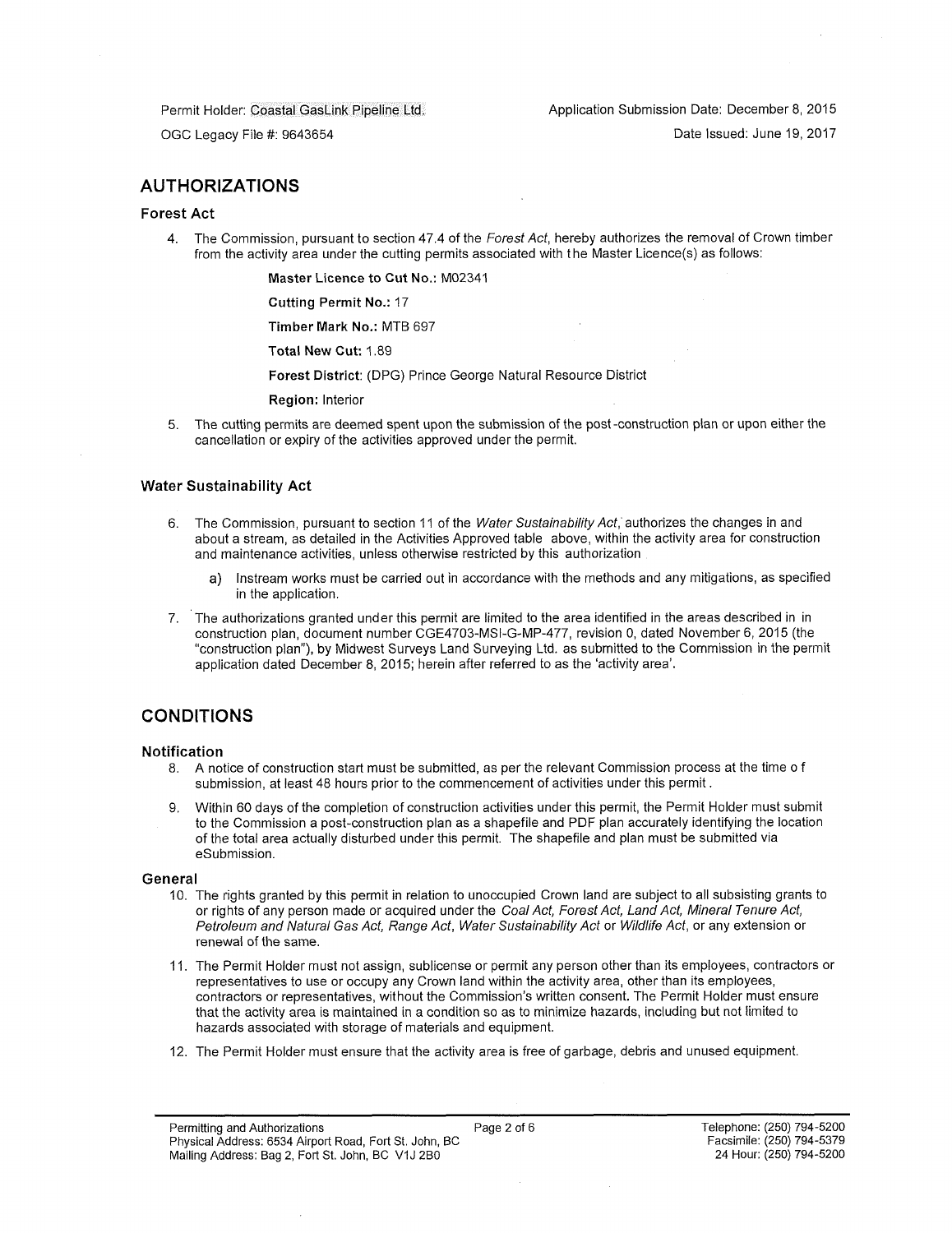Permit Holder: Coastal GasLink Pipeline Ltd.

Application Submission Date: December 8, 2015

OGC Legacy File #: 9643654

Date Issued: June 19, 2017

# **AUTHORIZATIONS**

### **Forest Act**

4. The Commission, pursuant to section 47.4 of the *Forest Act,* hereby authorizes the removal of Crown timber from the activity area under the cutting permits associated with the Master Licence(s) as follows:

Master Licence to Cut No.: M02341

Cutting Permit No.: 17

Timber Mark No.: MTB 697

Total New Cut: 1.89

Forest District: (DPG) Prince George Natural Resource District

Region: Interior

5. The cutting permits are deemed spent upon the submission of the post-construction plan or upon either the cancellation or expiry of the activities approved under the permit.

### **Water Sustainability Act**

- 6. The Commission, pursuant to section 11 of the *Water Sustainability Act,* authorizes the changes in and about a stream, as detailed in the Activities Approved table above, within the activity area for construction and maintenance activities, unless otherwise restricted by this authorization
	- a) Instream works must be carried out in accordance with the methods and any mitigations, as specified in the application.
- 7. The authorizations granted under this permit are limited to the area identified in the areas described in in construction plan, document number CGE4703-MSI-G-MP-477, revision 0, dated November 6, 2015 (the "construction plan"), by Midwest Surveys Land Surveying Ltd. as submitted to the Commission in the permit application dated December 8, 2015; herein after referred to as the 'activity area'.

# **CONDITIONS**

### **Notification**

- 8. A notice of construction start must be submitted, as per the relevant Commission process at the time o f submission, at least 48 hours prior to the commencement of activities under this permit.
- 9. Within 60 days of the completion of construction activities under this permit, the Permit Holder must submit to the Commission a post-construction plan as a shapefile and PDF plan accurately identifying the location of the total area actually disturbed under this permit. The shapefile and plan must be submitted via eSubmission.

### **General**

- 10. The rights granted by this permit in relation to unoccupied Crown land are subject to all subsisting grants to or rights of any person made or acquired under the *Coal Act, Forest Act, Land Act, Mineral Tenure Act, Petroleum and Natural Gas Act, Range Act, Water Sustainability Act* or *Wildlife Act,* or any extension or renewal of the same.
- 11. The Permit Holder must not assign, sublicense or permit any person other than its employees, contractors or representatives to use or occupy any Crown land within the activity area, other than its employees, contractors or representatives, without the Commission's written consent. The Permit Holder must ensure that the activity area is maintained in a condition so as to minimize hazards, including but not limited to hazards associated with storage of materials and equipment.
- 12. The Permit Holder must ensure that the activity area is free of garbage, debris and unused equipment.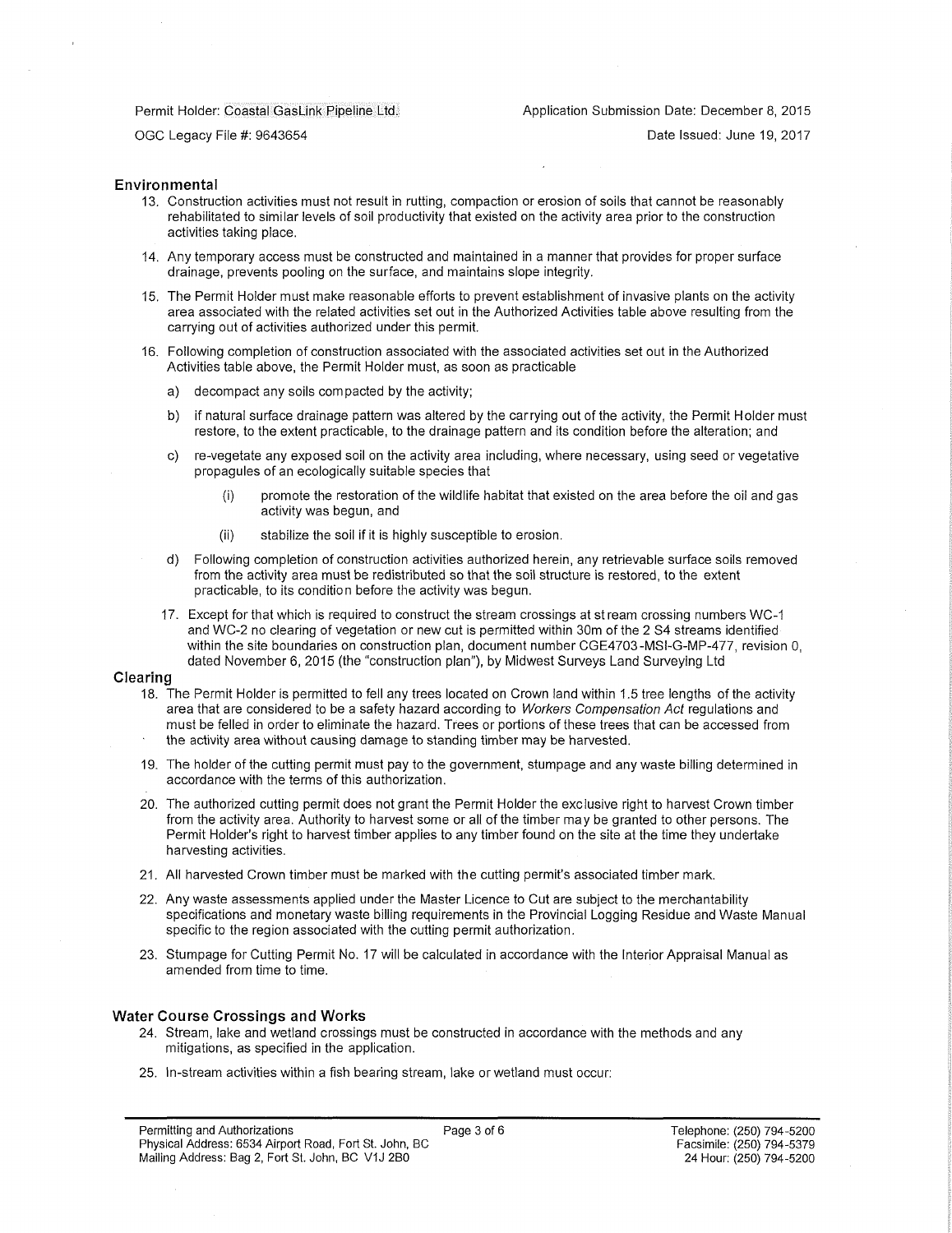### Permit Holder: Coastal GasLink Pipeline Ltd.:

Application Submission Date: December 8, 2015

OGC Legacy File #: 9643654

Date Issued: June 19, 2017

### **Environmental**

- 13. Construction activities must not result in rutting, compaction or erosion of soils that cannot be reasonably rehabilitated to similar levels of soil productivity that existed on the activity area prior to the construction activities taking place.
- 14. Any temporary access must be constructed and maintained in a manner that provides for proper surface drainage, prevents pooling on the surface, and maintains slope integrity.
- 15. The Permit Holder must make reasonable efforts to prevent establishment of invasive plants on the activity area associated with the related activities set out in the Authorized Activities table above resulting from the carrying out of activities authorized under this permit.
- 16. Following completion of construction associated with the associated activities set out in the Authorized Activities table above, the Permit Holder must, as soon as practicable
	- a) decompact any soils compacted by the activity;
	- b) if natural surface drainage pattern was altered by the carrying out of the activity, the Permit Holder must restore, to the extent practicable, to the drainage pattern and its condition before the alteration; and
	- c) re-vegetate any exposed soil on the activity area including, where necessary, using seed or vegetative propagules of an ecologically suitable species that
		- (i) promote the restoration of the wildlife habitat that existed on the area before the oil and gas activity was begun, and
		- (ii) stabilize the soil if it is highly susceptible to erosion.
	- d) Following completion of construction activities authorized herein, any retrievable surface soils removed from the activity area must be redistributed so that the soil structure is restored, to the extent practicable, to its condition before the activity was begun.
	- 17. Except for that which is required to construct the stream crossings at stream crossing numbers WC-1 and WC-2 no clearing of vegetation or new cut is permitted within 30m of the 2 S4 streams identified within the site boundaries on construction plan, document number CGE4703-MSI-G-MP-477, revision 0, dated November 6, 2015 (the "construction plan''), by Midwest Surveys Land Surveying Ltd

#### **Clearing**

- 18. The Permit Holder is permitted to fell any trees located on Crown land within 1.5 tree lengths of the activity area that are considered to be a safety hazard according to *Workers Compensation Act* regulations and must be felled in order to eliminate the hazard. Trees or portions of these trees that can be accessed from the activity area without causing damage to standing timber may be harvested.
- 19. The holder of the cutting permit must pay to the government, stumpage and any waste billing determined in accordance with the terms of this authorization.
- 20. The authorized cutting permit does not grant the Permit Holder the exclusive right to harvest Crown timber from the activity area. Authority to harvest some or all of the timber may be granted to other persons. The Permit Holder's right to harvest timber applies to any timber found on the site at the time they undertake harvesting activities.
- 21. All harvested Crown timber must be marked with the cutting permit's associated timber mark.
- 22. Any waste assessments applied under the Master Licence to Cut are subject to the merchantability specifications and monetary waste billing requirements in the Provincial Logging Residue and Waste Manual specific to the region associated with the cutting permit authorization.
- 23. Stumpage for Cutting Permit No. 17 will be calculated in accordance with the Interior Appraisal Manual as amended from time to time.

### **Water Course Crossings and Works**

- 24. Stream, lake and wetland crossings must be constructed in accordance with the methods and any mitigations, as specified in the application.
- 25. In-stream activities within a fish bearing stream, lake or wetland must occur: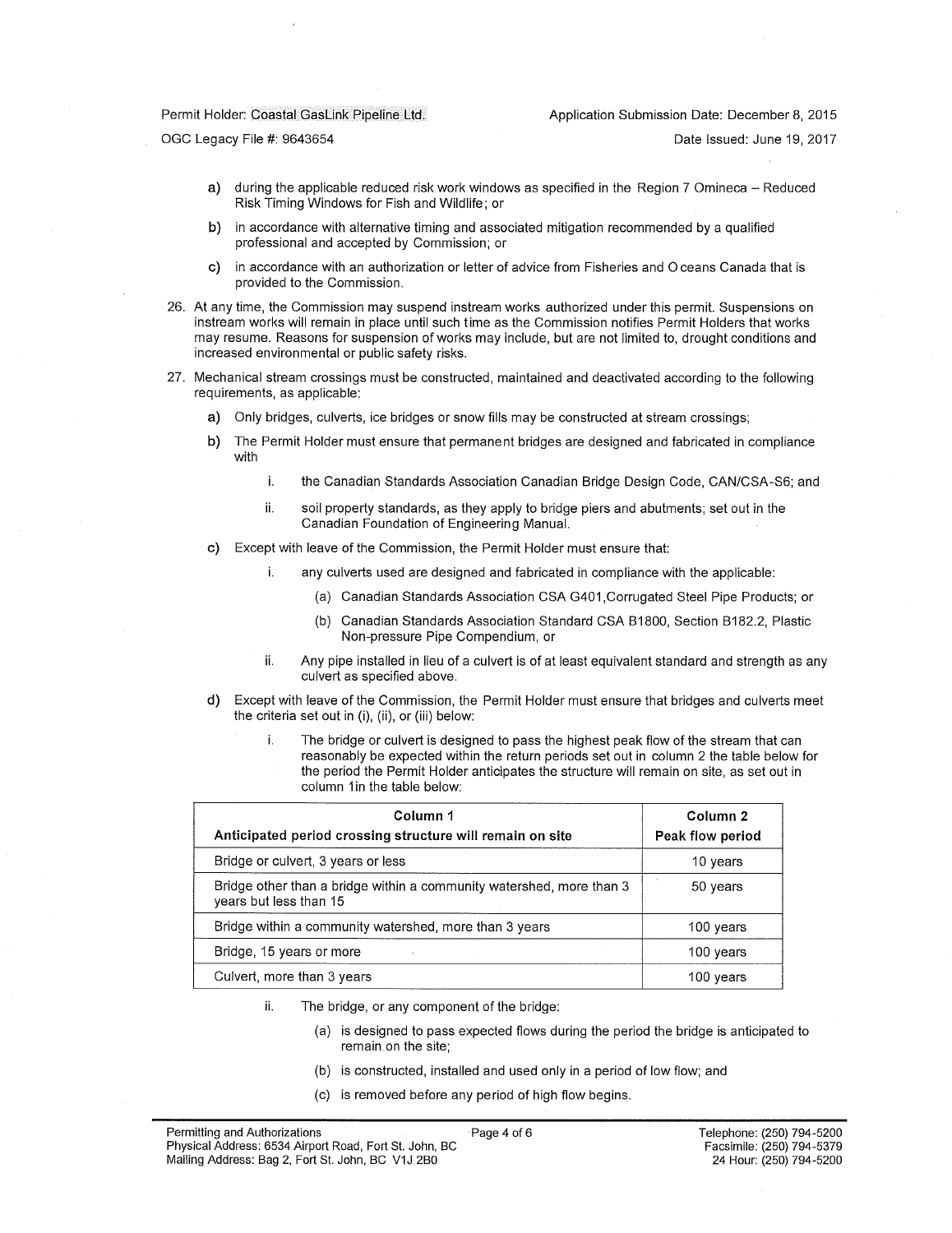#### Permit Holder: Coastal GasLink Pipeline Ltd,

Date Issued: June 19, 2017

OGC Legacy File #: 9643654

- a) during the applicable reduced risk work windows as specified in the Region 7 Omineca Reduced Risk Timing Windows for Fish and Wildlife; or
- b) in accordance with alternative timing and associated mitigation recommended by a qualified professional and accepted by Commission; or
- c) in accordance with an authorization or letter of advice from Fisheries and O ceans Canada that is provided to the Commission.
- 26. At any time, the Commission may suspend instream works authorized under this permit. Suspensions on instream works will remain in place until such time as the Commission notifies Permit Holders that works may resume. Reasons for suspension of works may include, but are not limited to, drought conditions and increased environmental or public safety risks.
- 27. Mechanical stream crossings must be constructed, maintained and deactivated according to the following requirements, as applicable:
	- a) Only bridges, culverts, ice bridges or snow fills may be constructed at stream crossings;
	- b) The Permit Holder must ensure that permanent bridges are designed and fabricated in compliance with
		- i. the Canadian Standards Association Canadian Bridge Design Code, CAN/CSA-S6; and
		- ii. soil property standards, as they apply to bridge piers and abutments; set out in the Canadian Foundation of Engineering Manual.
	- c) Except with leave of the Commission, the Permit Holder must ensure that:
		- i. any culverts used are designed and fabricated in compliance with the applicable:
			- (a) Canadian Standards Association CSA G401 .Corrugated Steel Pipe Products; or
			- (b) Canadian Standards Association Standard CSA B1800, Section B182.2, Plastic Non-pressure Pipe Compendium, or
		- ii. Any pipe installed in lieu of a culvert is of at least equivalent standard and strength as any culvert as specified above.
	- d) Except with leave of the Commission, the Permit Holder must ensure that bridges and culverts meet the criteria set out in (i), (ii), or (iii) below:
		- The bridge or culvert is designed to pass the highest peak flow of the stream that can reasonably be expected within the return periods set out in column 2 the table below for the period the Permit Holder anticipates the structure will remain on site, as set out in column 1 in the table below:

| Column 1                                                                                       | Column 2         |
|------------------------------------------------------------------------------------------------|------------------|
| Anticipated period crossing structure will remain on site                                      | Peak flow period |
| Bridge or culvert, 3 years or less                                                             | 10 years         |
| Bridge other than a bridge within a community watershed, more than 3<br>years but less than 15 | 50 years         |
| Bridge within a community watershed, more than 3 years                                         | 100 years        |
| Bridge, 15 years or more                                                                       | 100 years        |
| Culvert, more than 3 years                                                                     | 100 years        |

- ii. The bridge, or any component of the bridge:
	- (a) is designed to pass expected flows during the period the bridge is anticipated to remain on the site;
	- (b) is constructed, installed and used only in a period of low flow; and
	- (c) is removed before any period of high flow begins.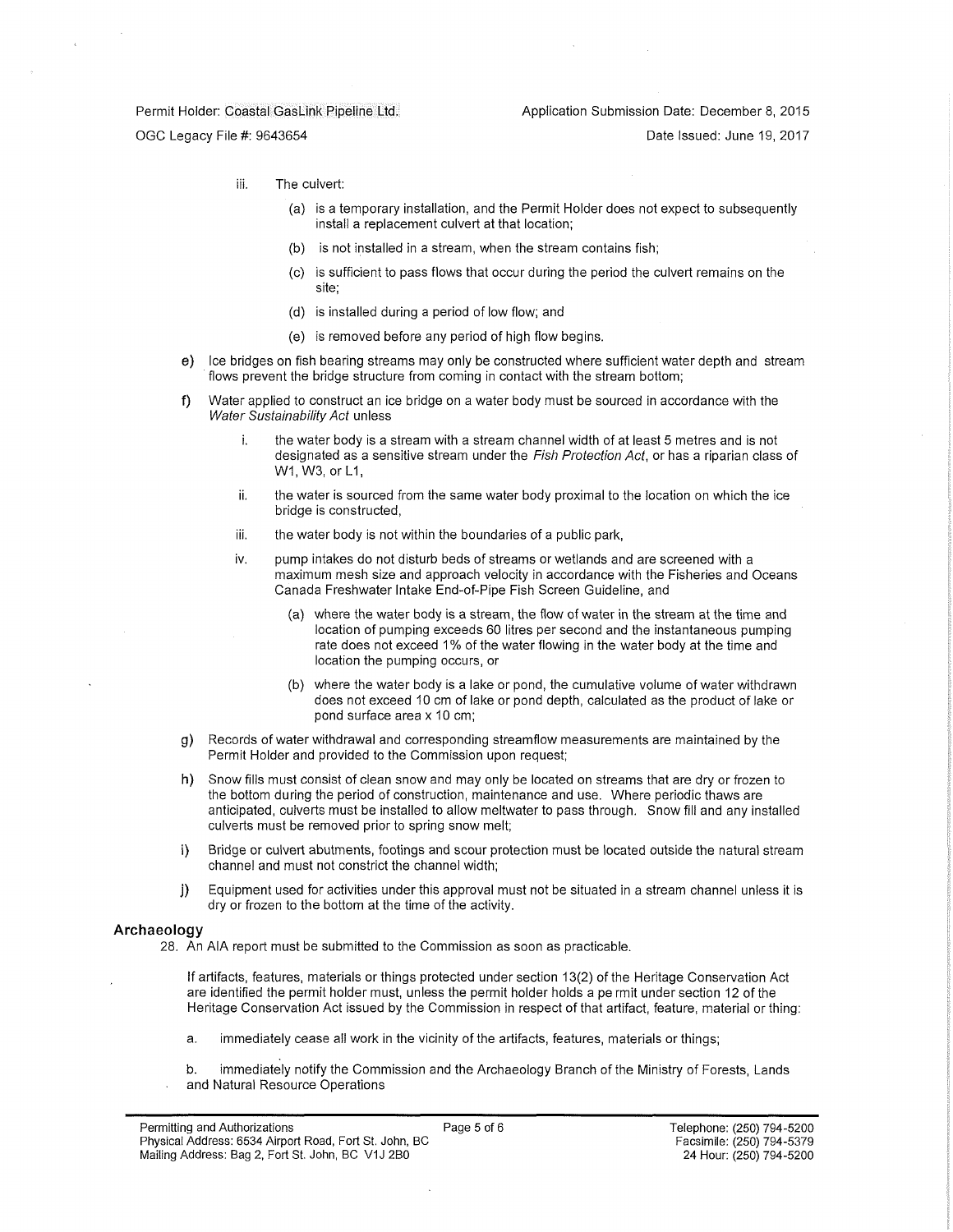#### Permit Holder: Coastal GasLink Pipeline Ltd.:

OGC Legacy File #: 9643654

Date Issued: June 19, 2017

- iii. The culvert:
	- (a) is a temporary installation, and the Permit Holder does not expect to subsequently install a replacement culvert at that location;
	- (b) is not installed in a stream, when the stream contains fish;
	- (c) is sufficient to pass flows that occur during the period the culvert remains on the site;
	- (d) is installed during a period of low flow; and
	- (e) is removed before any period of high flow begins.
- e) Ice bridges on fish bearing streams may only be constructed where sufficient water depth and stream flows prevent the bridge structure from coming in contact with the stream bottom;
- f) Water applied to construct an ice bridge on a water body must be sourced in accordance with the *Water Sustainability Act* unless
	- i. the water body is a stream with a stream channel width of at least 5 metres and is not designated as a sensitive stream under the *Fish Protection Act,* or has a riparian class of W1, W3, or L1,
	- ii. the water is sourced from the same water body proximal to the location on which the ice bridge is constructed,
	- iii. the water body is not within the boundaries of a public park,
	- iv. pump intakes do not disturb beds of streams or wetlands and are screened with a maximum mesh size and approach velocity in accordance with the Fisheries and Oceans Canada Freshwater Intake End-of-Pipe Fish Screen Guideline, and
		- (a) where the water body is a stream, the flow of water in the stream at the time and location of pumping exceeds 60 litres per second and the instantaneous pumping rate does not exceed 1% of the water flowing in the water body at the time and location the pumping occurs, or
		- (b) where the water body is a lake or pond, the cumulative volume of water withdrawn does not exceed 10 cm of lake or pond depth, calculated as the product of lake or pond surface area x 10 cm;
- g) Records of water withdrawal and corresponding streamflow measurements are maintained by the Permit Holder and provided to the Commission upon request;
- h) Snow fills must consist of clean snow and may only be located on streams that are dry or frozen to the bottom during the period of construction, maintenance and use. Where periodic thaws are anticipated, culverts must be installed to allow meltwater to pass through. Snow fill and any installed culverts must be removed prior to spring snow melt;
- i) Bridge or culvert abutments, footings and scour protection must be located outside the natural stream channel and must not constrict the channel width;
- j) Equipment used for activities under this approval must not be situated in a stream channel unless it is dry or frozen to the bottom at the time of the activity.

#### **Archaeology**

- 28. An AIA report must be submitted to the Commission as soon as practicable.
	- If artifacts, features, materials or things protected under section 13(2) of the Heritage Conservation Act are identified the permit holder must, unless the permit holder holds a pe rmit under section 12 of the Heritage Conservation Act issued by the Commission in respect of that artifact, feature, material or thing:
	- a. immediately cease all work in the vicinity of the artifacts, features, materials or things;
	- b. immediately notify the Commission and the Archaeology Branch of the Ministry of Forests, Lands and Natural Resource Operations